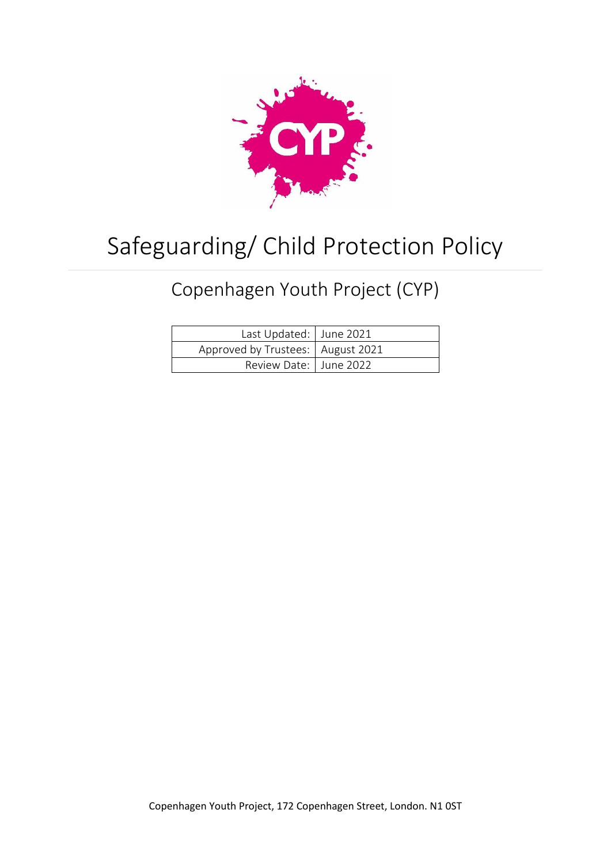

# Safeguarding/ Child Protection Policy

## Copenhagen Youth Project (CYP)

| Last Updated: June 2021             |  |
|-------------------------------------|--|
| Approved by Trustees:   August 2021 |  |
| Review Date:   June 2022            |  |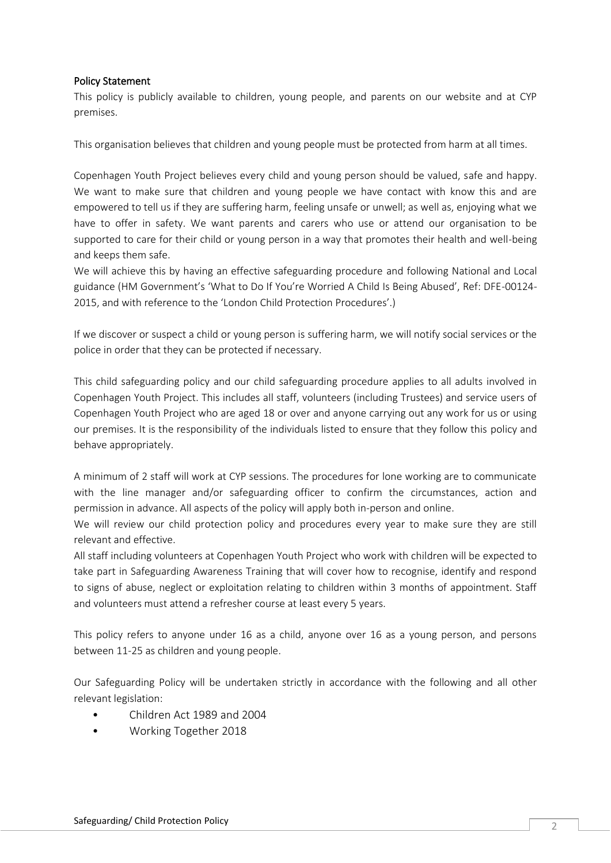#### Policy Statement

This policy is publicly available to children, young people, and parents on our website and at CYP premises.

This organisation believes that children and young people must be protected from harm at all times.

Copenhagen Youth Project believes every child and young person should be valued, safe and happy. We want to make sure that children and young people we have contact with know this and are empowered to tell us if they are suffering harm, feeling unsafe or unwell; as well as, enjoying what we have to offer in safety. We want parents and carers who use or attend our organisation to be supported to care for their child or young person in a way that promotes their health and well-being and keeps them safe.

We will achieve this by having an effective safeguarding procedure and following National and Local guidance (HM Government's 'What to Do If You're Worried A Child Is Being Abused', Ref: DFE-00124- 2015, and with reference to the 'London Child Protection Procedures'.)

If we discover or suspect a child or young person is suffering harm, we will notify social services or the police in order that they can be protected if necessary.

This child safeguarding policy and our child safeguarding procedure applies to all adults involved in Copenhagen Youth Project. This includes all staff, volunteers (including Trustees) and service users of Copenhagen Youth Project who are aged 18 or over and anyone carrying out any work for us or using our premises. It is the responsibility of the individuals listed to ensure that they follow this policy and behave appropriately.

A minimum of 2 staff will work at CYP sessions. The procedures for lone working are to communicate with the line manager and/or safeguarding officer to confirm the circumstances, action and permission in advance. All aspects of the policy will apply both in-person and online.

We will review our child protection policy and procedures every year to make sure they are still relevant and effective.

All staff including volunteers at Copenhagen Youth Project who work with children will be expected to take part in Safeguarding Awareness Training that will cover how to recognise, identify and respond to signs of abuse, neglect or exploitation relating to children within 3 months of appointment. Staff and volunteers must attend a refresher course at least every 5 years.

This policy refers to anyone under 16 as a child, anyone over 16 as a young person, and persons between 11-25 as children and young people.

Our Safeguarding Policy will be undertaken strictly in accordance with the following and all other relevant legislation:

- Children Act 1989 and 2004
- Working Together 2018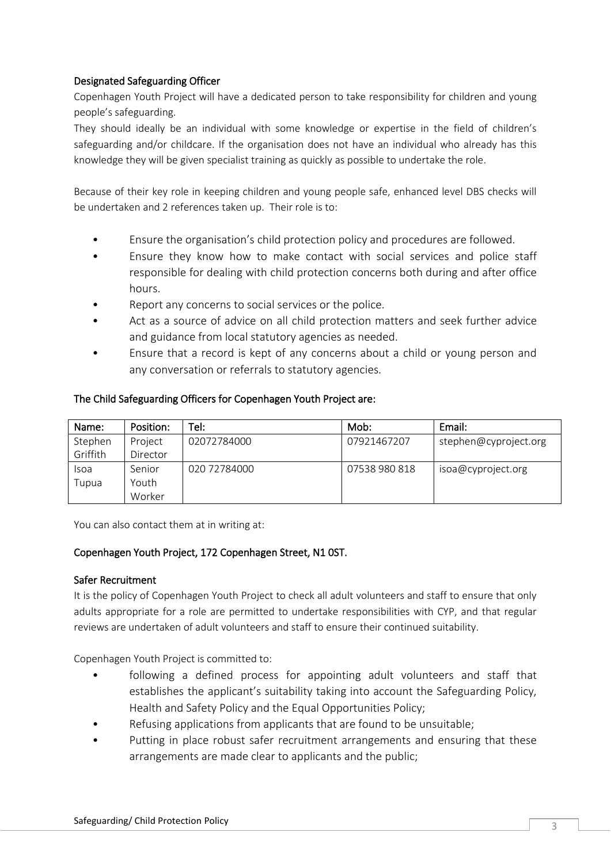#### Designated Safeguarding Officer

Copenhagen Youth Project will have a dedicated person to take responsibility for children and young people's safeguarding.

They should ideally be an individual with some knowledge or expertise in the field of children's safeguarding and/or childcare. If the organisation does not have an individual who already has this knowledge they will be given specialist training as quickly as possible to undertake the role.

Because of their key role in keeping children and young people safe, enhanced level DBS checks will be undertaken and 2 references taken up. Their role is to:

- Ensure the organisation's child protection policy and procedures are followed.
- Ensure they know how to make contact with social services and police staff responsible for dealing with child protection concerns both during and after office hours.
- Report any concerns to social services or the police.
- Act as a source of advice on all child protection matters and seek further advice and guidance from local statutory agencies as needed.
- Ensure that a record is kept of any concerns about a child or young person and any conversation or referrals to statutory agencies.

#### The Child Safeguarding Officers for Copenhagen Youth Project are:

| Name:    | Position: | Tel: I       | Mob:          | Email:                |
|----------|-----------|--------------|---------------|-----------------------|
| Stephen  | Project   | 02072784000  | 07921467207   | stephen@cyproject.org |
| Griffith | Director  |              |               |                       |
| Isoa     | Senior    | 020 72784000 | 07538 980 818 | isoa@cyproject.org    |
| l upua   | Youth     |              |               |                       |
|          | Worker    |              |               |                       |

You can also contact them at in writing at:

#### Copenhagen Youth Project, 172 Copenhagen Street, N1 0ST.

#### Safer Recruitment

It is the policy of Copenhagen Youth Project to check all adult volunteers and staff to ensure that only adults appropriate for a role are permitted to undertake responsibilities with CYP, and that regular reviews are undertaken of adult volunteers and staff to ensure their continued suitability.

Copenhagen Youth Project is committed to:

- following a defined process for appointing adult volunteers and staff that establishes the applicant's suitability taking into account the Safeguarding Policy, Health and Safety Policy and the Equal Opportunities Policy;
- Refusing applications from applicants that are found to be unsuitable;
- Putting in place robust safer recruitment arrangements and ensuring that these arrangements are made clear to applicants and the public;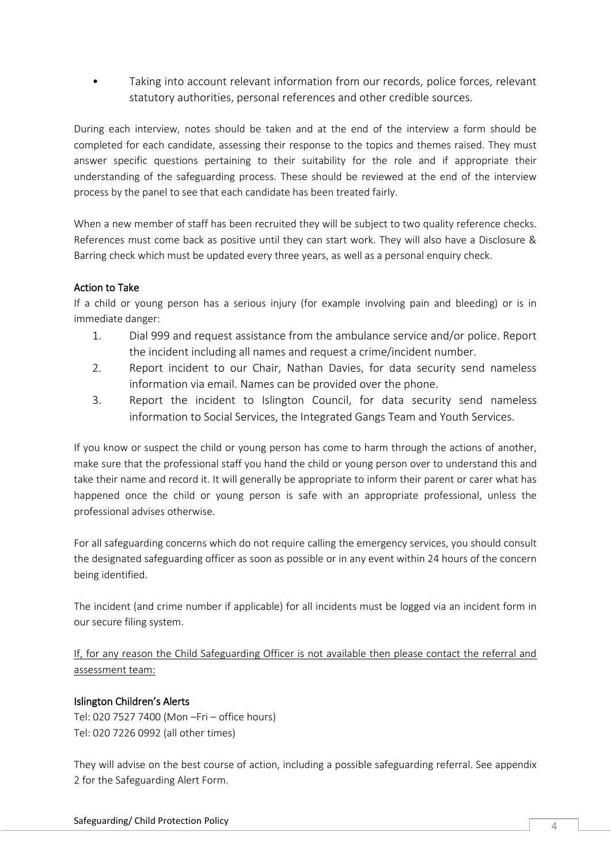Taking into account relevant information from our records, police forces, relevant statutory authorities, personal references and other credible sources.

During each interview, notes should be taken and at the end of the interview a form should be completed for each candidate, assessing their response to the topics and themes raised. They must answer specific questions pertaining to their suitability for the role and if appropriate their understanding of the safeguarding process. These should be reviewed at the end of the interview process by the panel to see that each candidate has been treated fairly.

When a new member of staff has been recruited they will be subject to two quality reference checks. References must come back as positive until they can start work. They will also have a Disclosure & Barring check which must be updated every three years, as well as a personal enquiry check.

#### Action to Take

If a child or young person has a serious injury (for example involving pain and bleeding) or is in immediate danger:

- 1. Dial 999 and request assistance from the ambulance service and/or police. Report the incident including all names and request a crime/incident number.
- 2. Report incident to our Chair, Nathan Davies, for data security send nameless information via email. Names can be provided over the phone.
- 3. Report the incident to Islington Council, for data security send nameless information to Social Services, the Integrated Gangs Team and Youth Services.

If you know or suspect the child or young person has come to harm through the actions of another, make sure that the professional staff you hand the child or young person over to understand this and take their name and record it. It will generally be appropriate to inform their parent or carer what has happened once the child or young person is safe with an appropriate professional, unless the professional advises otherwise.

For all safeguarding concerns which do not require calling the emergency services, you should consult the designated safeguarding officer as soon as possible or in any event within 24 hours of the concern being identified.

The incident (and crime number if applicable) for all incidents must be logged via an incident form in our secure filing system.

If, for any reason the Child Safeguarding Officer is not available then please contact the referral and assessment team:

#### Islington Children's Alerts

Tel: 020 7527 7400 (Mon –Fri – office hours) Tel: 020 7226 0992 (all other times)

They will advise on the best course of action, including a possible safeguarding referral. See appendix 2 for the Safeguarding Alert Form.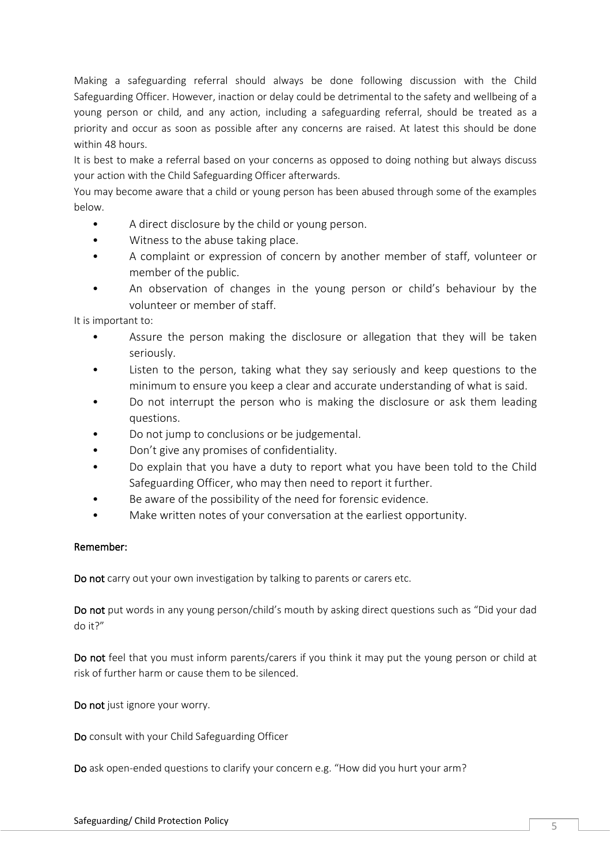Making a safeguarding referral should always be done following discussion with the Child Safeguarding Officer. However, inaction or delay could be detrimental to the safety and wellbeing of a young person or child, and any action, including a safeguarding referral, should be treated as a priority and occur as soon as possible after any concerns are raised. At latest this should be done within 48 hours.

It is best to make a referral based on your concerns as opposed to doing nothing but always discuss your action with the Child Safeguarding Officer afterwards.

You may become aware that a child or young person has been abused through some of the examples below.

- A direct disclosure by the child or young person.
- Witness to the abuse taking place.
- A complaint or expression of concern by another member of staff, volunteer or member of the public.
- An observation of changes in the young person or child's behaviour by the volunteer or member of staff.

It is important to:

- Assure the person making the disclosure or allegation that they will be taken seriously.
- Listen to the person, taking what they say seriously and keep questions to the minimum to ensure you keep a clear and accurate understanding of what is said.
- Do not interrupt the person who is making the disclosure or ask them leading questions.
- Do not jump to conclusions or be judgemental.
- Don't give any promises of confidentiality.
- Do explain that you have a duty to report what you have been told to the Child Safeguarding Officer, who may then need to report it further.
- Be aware of the possibility of the need for forensic evidence.
- Make written notes of your conversation at the earliest opportunity.

#### Remember:

Do not carry out your own investigation by talking to parents or carers etc.

Do not put words in any young person/child's mouth by asking direct questions such as "Did your dad do it?"

Do not feel that you must inform parents/carers if you think it may put the young person or child at risk of further harm or cause them to be silenced.

Do not just ignore your worry.

Do consult with your Child Safeguarding Officer

Do ask open-ended questions to clarify your concern e.g. "How did you hurt your arm?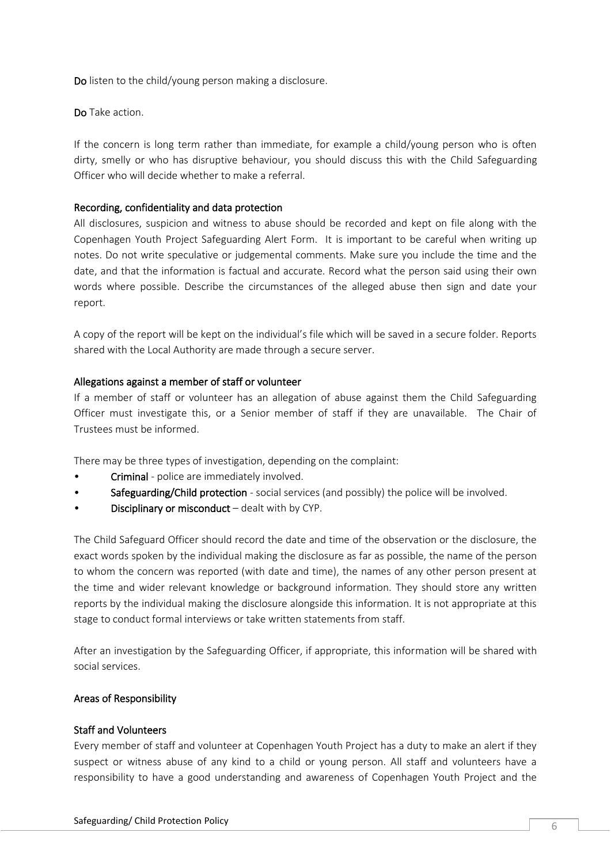Do listen to the child/young person making a disclosure.

Do Take action.

If the concern is long term rather than immediate, for example a child/young person who is often dirty, smelly or who has disruptive behaviour, you should discuss this with the Child Safeguarding Officer who will decide whether to make a referral.

#### Recording, confidentiality and data protection

All disclosures, suspicion and witness to abuse should be recorded and kept on file along with the Copenhagen Youth Project Safeguarding Alert Form. It is important to be careful when writing up notes. Do not write speculative or judgemental comments. Make sure you include the time and the date, and that the information is factual and accurate. Record what the person said using their own words where possible. Describe the circumstances of the alleged abuse then sign and date your report.

A copy of the report will be kept on the individual's file which will be saved in a secure folder. Reports shared with the Local Authority are made through a secure server.

#### Allegations against a member of staff or volunteer

If a member of staff or volunteer has an allegation of abuse against them the Child Safeguarding Officer must investigate this, or a Senior member of staff if they are unavailable. The Chair of Trustees must be informed.

There may be three types of investigation, depending on the complaint:

- Criminal police are immediately involved.
- Safeguarding/Child protection social services (and possibly) the police will be involved.
- Disciplinary or misconduct dealt with by CYP.

The Child Safeguard Officer should record the date and time of the observation or the disclosure, the exact words spoken by the individual making the disclosure as far as possible, the name of the person to whom the concern was reported (with date and time), the names of any other person present at the time and wider relevant knowledge or background information. They should store any written reports by the individual making the disclosure alongside this information. It is not appropriate at this stage to conduct formal interviews or take written statements from staff.

After an investigation by the Safeguarding Officer, if appropriate, this information will be shared with social services.

#### Areas of Responsibility

#### Staff and Volunteers

Every member of staff and volunteer at Copenhagen Youth Project has a duty to make an alert if they suspect or witness abuse of any kind to a child or young person. All staff and volunteers have a responsibility to have a good understanding and awareness of Copenhagen Youth Project and the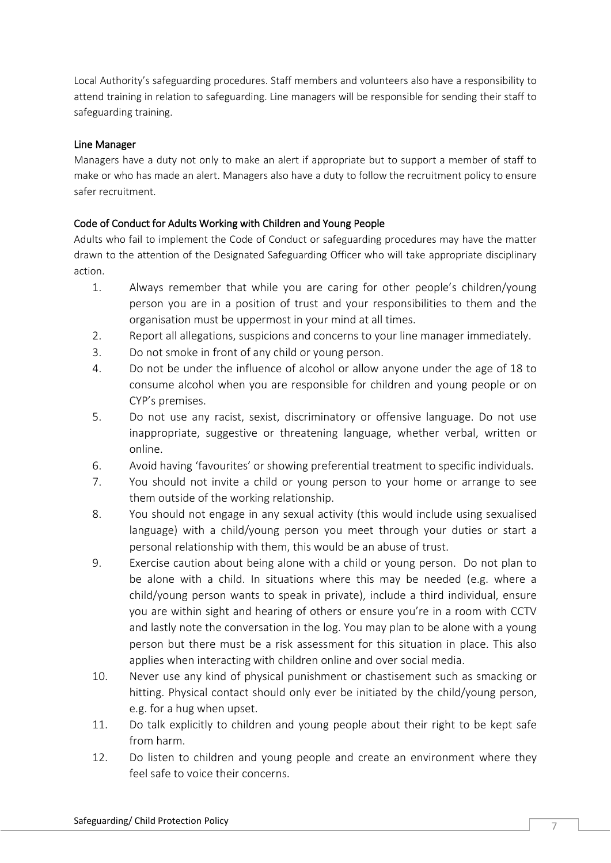Local Authority's safeguarding procedures. Staff members and volunteers also have a responsibility to attend training in relation to safeguarding. Line managers will be responsible for sending their staff to safeguarding training.

#### Line Manager

Managers have a duty not only to make an alert if appropriate but to support a member of staff to make or who has made an alert. Managers also have a duty to follow the recruitment policy to ensure safer recruitment.

#### Code of Conduct for Adults Working with Children and Young People

Adults who fail to implement the Code of Conduct or safeguarding procedures may have the matter drawn to the attention of the Designated Safeguarding Officer who will take appropriate disciplinary action.

- 1. Always remember that while you are caring for other people's children/young person you are in a position of trust and your responsibilities to them and the organisation must be uppermost in your mind at all times.
- 2. Report all allegations, suspicions and concerns to your line manager immediately.
- 3. Do not smoke in front of any child or young person.
- 4. Do not be under the influence of alcohol or allow anyone under the age of 18 to consume alcohol when you are responsible for children and young people or on CYP's premises.
- 5. Do not use any racist, sexist, discriminatory or offensive language. Do not use inappropriate, suggestive or threatening language, whether verbal, written or online.
- 6. Avoid having 'favourites' or showing preferential treatment to specific individuals.
- 7. You should not invite a child or young person to your home or arrange to see them outside of the working relationship.
- 8. You should not engage in any sexual activity (this would include using sexualised language) with a child/young person you meet through your duties or start a personal relationship with them, this would be an abuse of trust.
- 9. Exercise caution about being alone with a child or young person. Do not plan to be alone with a child. In situations where this may be needed (e.g. where a child/young person wants to speak in private), include a third individual, ensure you are within sight and hearing of others or ensure you're in a room with CCTV and lastly note the conversation in the log. You may plan to be alone with a young person but there must be a risk assessment for this situation in place. This also applies when interacting with children online and over social media.
- 10. Never use any kind of physical punishment or chastisement such as smacking or hitting. Physical contact should only ever be initiated by the child/young person, e.g. for a hug when upset.
- 11. Do talk explicitly to children and young people about their right to be kept safe from harm.
- 12. Do listen to children and young people and create an environment where they feel safe to voice their concerns.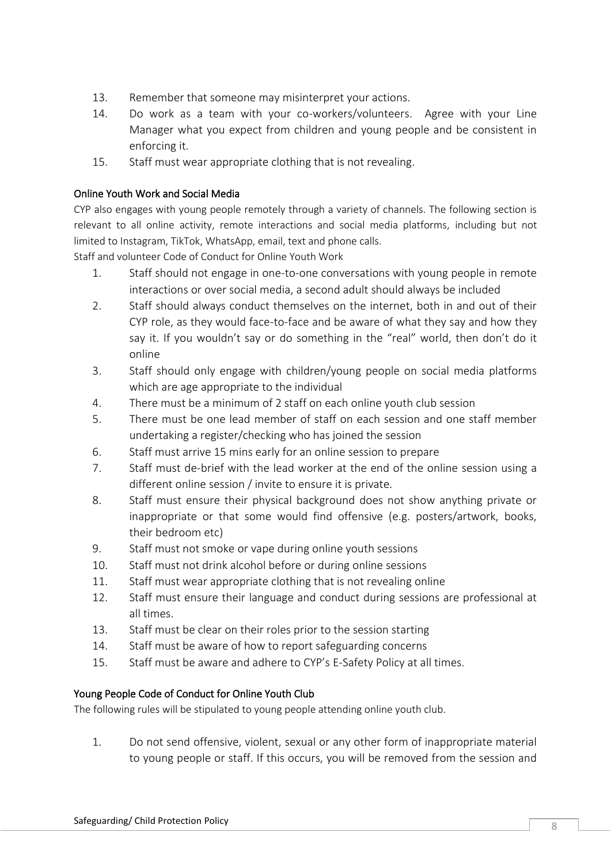- 13. Remember that someone may misinterpret your actions.
- 14. Do work as a team with your co-workers/volunteers. Agree with your Line Manager what you expect from children and young people and be consistent in enforcing it.
- 15. Staff must wear appropriate clothing that is not revealing.

## Online Youth Work and Social Media

CYP also engages with young people remotely through a variety of channels. The following section is relevant to all online activity, remote interactions and social media platforms, including but not limited to Instagram, TikTok, WhatsApp, email, text and phone calls.

Staff and volunteer Code of Conduct for Online Youth Work

- 1. Staff should not engage in one-to-one conversations with young people in remote interactions or over social media, a second adult should always be included
- 2. Staff should always conduct themselves on the internet, both in and out of their CYP role, as they would face-to-face and be aware of what they say and how they say it. If you wouldn't say or do something in the "real" world, then don't do it online
- 3. Staff should only engage with children/young people on social media platforms which are age appropriate to the individual
- 4. There must be a minimum of 2 staff on each online youth club session
- 5. There must be one lead member of staff on each session and one staff member undertaking a register/checking who has joined the session
- 6. Staff must arrive 15 mins early for an online session to prepare
- 7. Staff must de-brief with the lead worker at the end of the online session using a different online session / invite to ensure it is private.
- 8. Staff must ensure their physical background does not show anything private or inappropriate or that some would find offensive (e.g. posters/artwork, books, their bedroom etc)
- 9. Staff must not smoke or vape during online youth sessions
- 10. Staff must not drink alcohol before or during online sessions
- 11. Staff must wear appropriate clothing that is not revealing online
- 12. Staff must ensure their language and conduct during sessions are professional at all times.
- 13. Staff must be clear on their roles prior to the session starting
- 14. Staff must be aware of how to report safeguarding concerns
- 15. Staff must be aware and adhere to CYP's E-Safety Policy at all times.

### Young People Code of Conduct for Online Youth Club

The following rules will be stipulated to young people attending online youth club.

1. Do not send offensive, violent, sexual or any other form of inappropriate material to young people or staff. If this occurs, you will be removed from the session and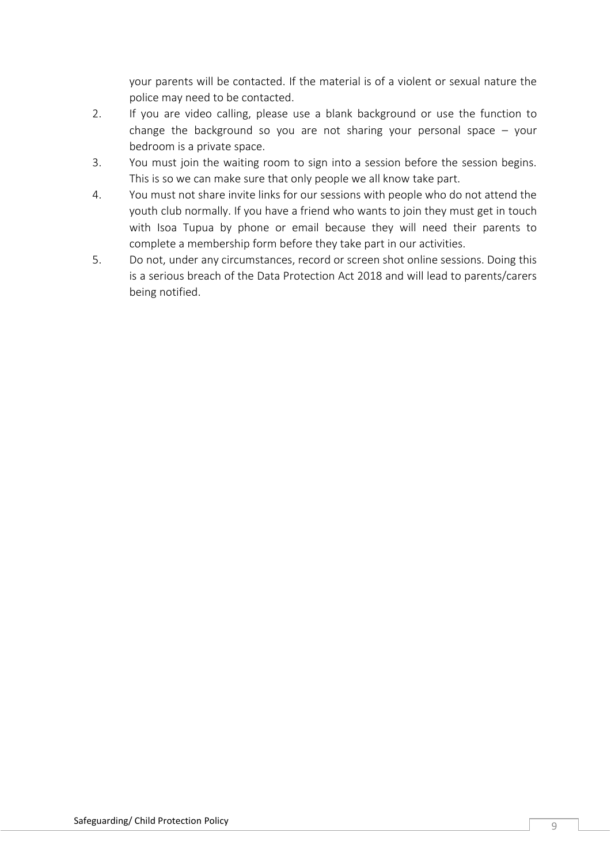your parents will be contacted. If the material is of a violent or sexual nature the police may need to be contacted.

- 2. If you are video calling, please use a blank background or use the function to change the background so you are not sharing your personal space  $-$  your bedroom is a private space.
- 3. You must join the waiting room to sign into a session before the session begins. This is so we can make sure that only people we all know take part.
- 4. You must not share invite links for our sessions with people who do not attend the youth club normally. If you have a friend who wants to join they must get in touch with Isoa Tupua by phone or email because they will need their parents to complete a membership form before they take part in our activities.
- 5. Do not, under any circumstances, record or screen shot online sessions. Doing this is a serious breach of the Data Protection Act 2018 and will lead to parents/carers being notified.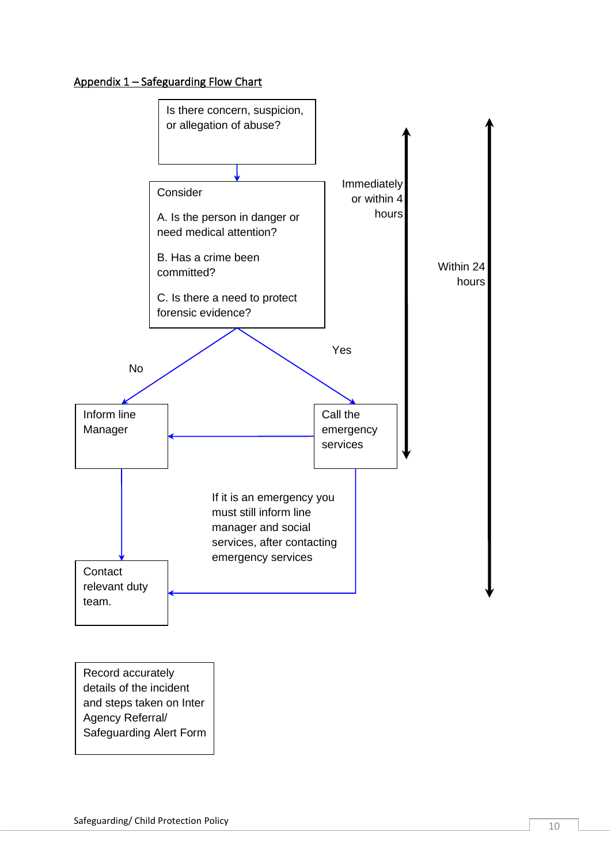## Appendix 1 – Safeguarding Flow Chart



Record accurately details of the incident and steps taken on Inter Agency Referral/ Safeguarding Alert Form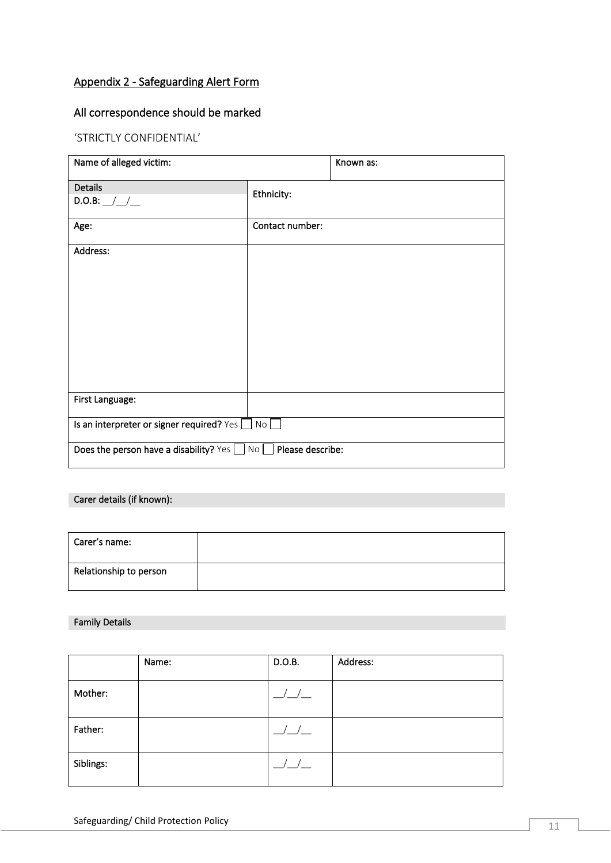## Appendix 2 - Safeguarding Alert Form

## All correspondence should be marked

#### 'STRICTLY CONFIDENTIAL'

| Name of alleged victim:                                                  |                 | Known as: |
|--------------------------------------------------------------------------|-----------------|-----------|
| <b>Details</b><br>$D.O.B:$ _/_/__                                        | Ethnicity:      |           |
| Age:                                                                     | Contact number: |           |
| Address:                                                                 |                 |           |
| First Language:                                                          |                 |           |
| Is an interpreter or signer required? Yes<br>No                          |                 |           |
| Does the person have a disability? Yes $\Box$ No $\Box$ Please describe: |                 |           |

#### Carer details (if known):

| Carer's name:          |  |
|------------------------|--|
| Relationship to person |  |

#### Family Details

|           | Name: | D.O.B.                                 | Address: |
|-----------|-------|----------------------------------------|----------|
| Mother:   |       | $\frac{\mu}{\mu}$                      |          |
| Father:   |       | $\begin{tabular}{c} $-$ \end{tabular}$ |          |
| Siblings: |       | $\frac{\Delta}{\Delta}$                |          |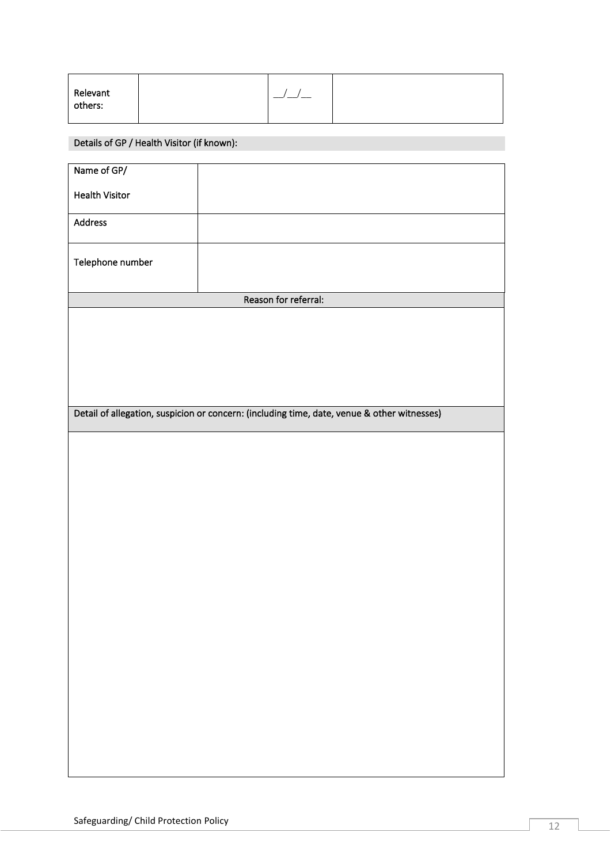| Relevant |  |  |
|----------|--|--|
| others:  |  |  |
|          |  |  |

## Details of GP / Health Visitor (if known):

| Name of GP/                                                                                 |                      |  |
|---------------------------------------------------------------------------------------------|----------------------|--|
|                                                                                             |                      |  |
| <b>Health Visitor</b>                                                                       |                      |  |
|                                                                                             |                      |  |
| Address                                                                                     |                      |  |
|                                                                                             |                      |  |
| Telephone number                                                                            |                      |  |
|                                                                                             |                      |  |
|                                                                                             |                      |  |
|                                                                                             | Reason for referral: |  |
|                                                                                             |                      |  |
|                                                                                             |                      |  |
|                                                                                             |                      |  |
|                                                                                             |                      |  |
|                                                                                             |                      |  |
|                                                                                             |                      |  |
| Detail of allegation, suspicion or concern: (including time, date, venue & other witnesses) |                      |  |
|                                                                                             |                      |  |
|                                                                                             |                      |  |
|                                                                                             |                      |  |
|                                                                                             |                      |  |
|                                                                                             |                      |  |
|                                                                                             |                      |  |
|                                                                                             |                      |  |
|                                                                                             |                      |  |
|                                                                                             |                      |  |
|                                                                                             |                      |  |
|                                                                                             |                      |  |
|                                                                                             |                      |  |
|                                                                                             |                      |  |
|                                                                                             |                      |  |
|                                                                                             |                      |  |
|                                                                                             |                      |  |
|                                                                                             |                      |  |
|                                                                                             |                      |  |
|                                                                                             |                      |  |
|                                                                                             |                      |  |
|                                                                                             |                      |  |
|                                                                                             |                      |  |
|                                                                                             |                      |  |
|                                                                                             |                      |  |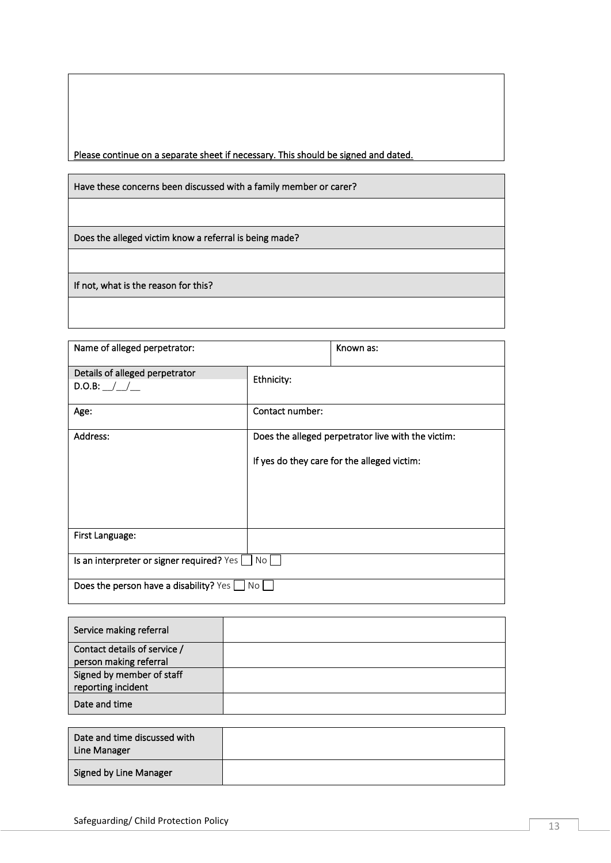Please continue on a separate sheet if necessary. This should be signed and dated.

Have these concerns been discussed with a family member or carer?

Does the alleged victim know a referral is being made?

If not, what is the reason for this?

| Name of alleged perpetrator:                               |                 | Known as:                                                                                         |
|------------------------------------------------------------|-----------------|---------------------------------------------------------------------------------------------------|
| Details of alleged perpetrator<br>D.O.B: / /               | Ethnicity:      |                                                                                                   |
| Age:                                                       | Contact number: |                                                                                                   |
| Address:                                                   |                 | Does the alleged perpetrator live with the victim:<br>If yes do they care for the alleged victim: |
| First Language:                                            |                 |                                                                                                   |
| Is an interpreter or signer required? Yes $\Box$ No $\Box$ |                 |                                                                                                   |
| Does the person have a disability? Yes                     | No              |                                                                                                   |

| Service making referral      |  |
|------------------------------|--|
| Contact details of service / |  |
| person making referral       |  |
| Signed by member of staff    |  |
| reporting incident           |  |
| Date and time                |  |

| Date and time discussed with<br>Line Manager |  |
|----------------------------------------------|--|
| <b>Signed by Line Manager</b>                |  |